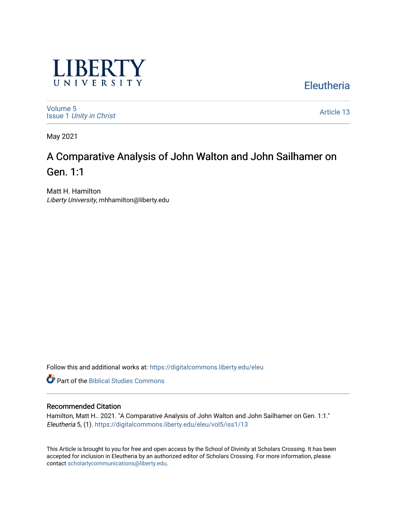

**Eleutheria** 

[Volume 5](https://digitalcommons.liberty.edu/eleu/vol5) Issue 1 [Unity in Christ](https://digitalcommons.liberty.edu/eleu/vol5/iss1) 

[Article 13](https://digitalcommons.liberty.edu/eleu/vol5/iss1/13) 

May 2021

# A Comparative Analysis of John Walton and John Sailhamer on Gen. 1:1

Matt H. Hamilton Liberty University, mhhamilton@liberty.edu

Follow this and additional works at: [https://digitalcommons.liberty.edu/eleu](https://digitalcommons.liberty.edu/eleu?utm_source=digitalcommons.liberty.edu%2Feleu%2Fvol5%2Fiss1%2F13&utm_medium=PDF&utm_campaign=PDFCoverPages) 

**Part of the Biblical Studies Commons** 

### Recommended Citation

Hamilton, Matt H.. 2021. "A Comparative Analysis of John Walton and John Sailhamer on Gen. 1:1." Eleutheria 5, (1). [https://digitalcommons.liberty.edu/eleu/vol5/iss1/13](https://digitalcommons.liberty.edu/eleu/vol5/iss1/13?utm_source=digitalcommons.liberty.edu%2Feleu%2Fvol5%2Fiss1%2F13&utm_medium=PDF&utm_campaign=PDFCoverPages) 

This Article is brought to you for free and open access by the School of Divinity at Scholars Crossing. It has been accepted for inclusion in Eleutheria by an authorized editor of Scholars Crossing. For more information, please contact [scholarlycommunications@liberty.edu](mailto:scholarlycommunications@liberty.edu).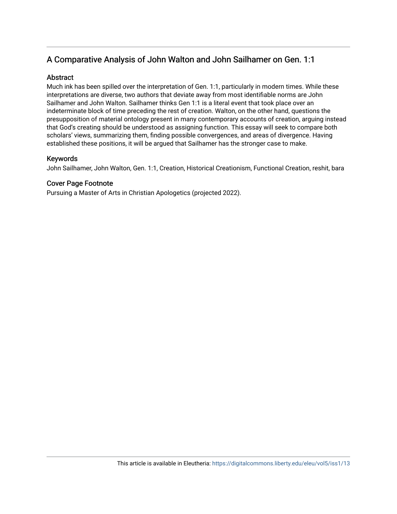# A Comparative Analysis of John Walton and John Sailhamer on Gen. 1:1

## **Abstract**

Much ink has been spilled over the interpretation of Gen. 1:1, particularly in modern times. While these interpretations are diverse, two authors that deviate away from most identifiable norms are John Sailhamer and John Walton. Sailhamer thinks Gen 1:1 is a literal event that took place over an indeterminate block of time preceding the rest of creation. Walton, on the other hand, questions the presupposition of material ontology present in many contemporary accounts of creation, arguing instead that God's creating should be understood as assigning function. This essay will seek to compare both scholars' views, summarizing them, finding possible convergences, and areas of divergence. Having established these positions, it will be argued that Sailhamer has the stronger case to make.

# Keywords

John Sailhamer, John Walton, Gen. 1:1, Creation, Historical Creationism, Functional Creation, reshit, bara

# Cover Page Footnote

Pursuing a Master of Arts in Christian Apologetics (projected 2022).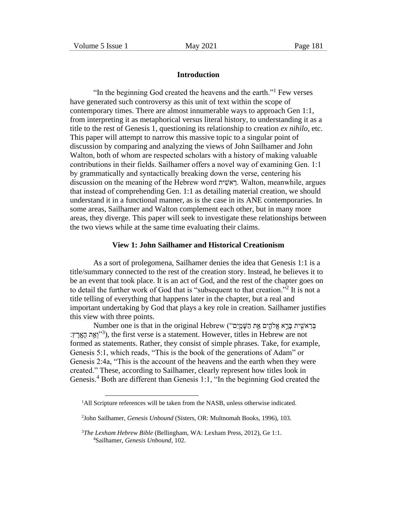#### **Introduction**

"In the beginning God created the heavens and the earth."<sup>1</sup> Few verses have generated such controversy as this unit of text within the scope of contemporary times. There are almost innumerable ways to approach Gen 1:1, from interpreting it as metaphorical versus literal history, to understanding it as a title to the rest of Genesis 1, questioning its relationship to creation *ex nihilo*, etc. This paper will attempt to narrow this massive topic to a singular point of discussion by comparing and analyzing the views of John Sailhamer and John Walton, both of whom are respected scholars with a history of making valuable contributions in their fields. Sailhamer offers a novel way of examining Gen. 1:1 by grammatically and syntactically breaking down the verse, centering his discussion on the meaning of the Hebrew word ית יוש וואג וואג . Walton, meanwhile, argues that instead of comprehending Gen. 1:1 as detailing material creation, we should understand it in a functional manner, as is the case in its ANE contemporaries. In some areas, Sailhamer and Walton complement each other, but in many more areas, they diverge. This paper will seek to investigate these relationships between the two views while at the same time evaluating their claims.

#### **View 1: John Sailhamer and Historical Creationism**

As a sort of prolegomena, Sailhamer denies the idea that Genesis 1:1 is a title/summary connected to the rest of the creation story. Instead, he believes it to be an event that took place. It is an act of God, and the rest of the chapter goes on to detail the further work of God that is "subsequent to that creation."<sup>2</sup> It is not a title telling of everything that happens later in the chapter, but a real and important undertaking by God that plays a key role in creation. Sailhamer justifies this view with three points.

Eְבְאִשִׁיּת בִּרְא אֱלֹהִים אֵת הַשִּׁמֵּיֵם") Number one is that in the original Hebrew ("בְּרָא וְאֵרָץ: ("וְאֵת הָאֲרָץ:), the first verse is a statement. However, titles in Hebrew are not formed as statements. Rather, they consist of simple phrases. Take, for example, Genesis 5:1, which reads, "This is the book of the generations of Adam" or Genesis 2:4a, "This is the account of the heavens and the earth when they were created." These, according to Sailhamer, clearly represent how titles look in Genesis.<sup>4</sup> Both are different than Genesis 1:1, "In the beginning God created the

<sup>&</sup>lt;sup>1</sup>All Scripture references will be taken from the NASB, unless otherwise indicated.

<sup>2</sup> John Sailhamer, *Genesis Unbound* (Sisters, OR: Multnomah Books, 1996), 103.

<sup>3</sup>*The Lexham Hebrew Bible* (Bellingham, WA: Lexham Press, 2012), Ge 1:1. 4Sailhamer, *Genesis Unbound*, 102.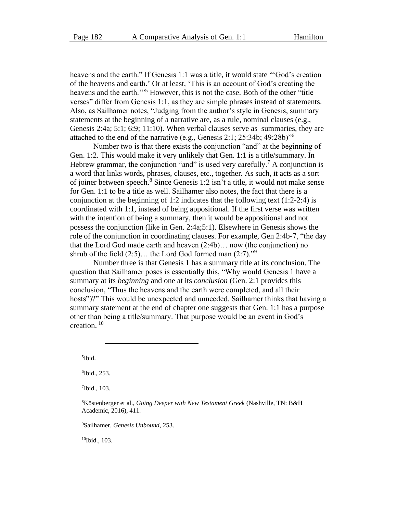heavens and the earth." If Genesis 1:1 was a title, it would state "'God's creation of the heavens and earth.' Or at least, 'This is an account of God's creating the heavens and the earth."<sup>5</sup> However, this is not the case. Both of the other "title" verses" differ from Genesis 1:1, as they are simple phrases instead of statements. Also, as Sailhamer notes, "Judging from the author's style in Genesis, summary statements at the beginning of a narrative are, as a rule, nominal clauses (e.g., Genesis 2:4a; 5:1; 6:9; 11:10). When verbal clauses serve as summaries, they are attached to the end of the narrative (e.g., Genesis 2:1; 25:34b; 49:28b)"<sup>6</sup>

Number two is that there exists the conjunction "and" at the beginning of Gen. 1:2. This would make it very unlikely that Gen. 1:1 is a title/summary. In Hebrew grammar, the conjunction "and" is used very carefully.<sup>7</sup> A conjunction is a word that links words, phrases, clauses, etc., together. As such, it acts as a sort of joiner between speech.<sup>8</sup> Since Genesis 1:2 isn't a title, it would not make sense for Gen. 1:1 to be a title as well. Sailhamer also notes, the fact that there is a conjunction at the beginning of 1:2 indicates that the following text  $(1:2-2:4)$  is coordinated with 1:1, instead of being appositional. If the first verse was written with the intention of being a summary, then it would be appositional and not possess the conjunction (like in Gen. 2:4a;5:1). Elsewhere in Genesis shows the role of the conjunction in coordinating clauses. For example, Gen 2:4b-7, "the day that the Lord God made earth and heaven (2:4b)… now (the conjunction) no shrub of the field  $(2:5)$ ... the Lord God formed man  $(2:7)$ ."<sup>9</sup>

Number three is that Genesis 1 has a summary title at its conclusion. The question that Sailhamer poses is essentially this, "Why would Genesis 1 have a summary at its *beginning* and one at its *conclusion* (Gen. 2:1 provides this conclusion, "Thus the heavens and the earth were completed, and all their hosts")?" This would be unexpected and unneeded. Sailhamer thinks that having a summary statement at the end of chapter one suggests that Gen. 1:1 has a purpose other than being a title/summary. That purpose would be an event in God's creation. <sup>10</sup>

5 Ibid.

6 Ibid., 253.

7 Ibid., 103.

<sup>8</sup>Köstenberger et al., *Going Deeper with New Testament Greek* (Nashville, TN: B&H Academic, 2016), 411.

<sup>9</sup>Sailhamer, *Genesis Unbound*, 253.

 $10$ Ibid., 103.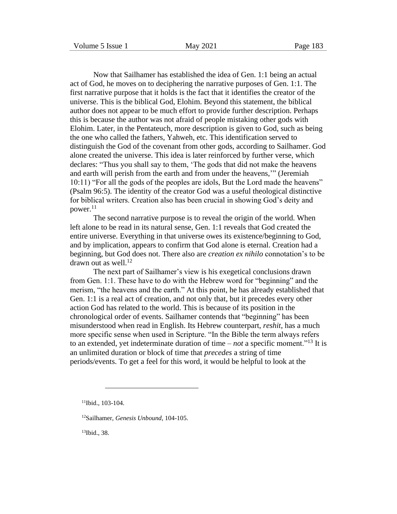Now that Sailhamer has established the idea of Gen. 1:1 being an actual act of God, he moves on to deciphering the narrative purposes of Gen. 1:1. The first narrative purpose that it holds is the fact that it identifies the creator of the universe. This is the biblical God, Elohim. Beyond this statement, the biblical author does not appear to be much effort to provide further description. Perhaps this is because the author was not afraid of people mistaking other gods with Elohim. Later, in the Pentateuch, more description is given to God, such as being the one who called the fathers, Yahweh, etc. This identification served to distinguish the God of the covenant from other gods, according to Sailhamer. God alone created the universe. This idea is later reinforced by further verse, which declares: "Thus you shall say to them, 'The gods that did not make the heavens and earth will perish from the earth and from under the heavens,'" (Jeremiah 10:11) "For all the gods of the peoples are idols, But the Lord made the heavens" (Psalm 96:5). The identity of the creator God was a useful theological distinctive for biblical writers. Creation also has been crucial in showing God's deity and power. $11$ 

The second narrative purpose is to reveal the origin of the world. When left alone to be read in its natural sense, Gen. 1:1 reveals that God created the entire universe. Everything in that universe owes its existence/beginning to God, and by implication, appears to confirm that God alone is eternal. Creation had a beginning, but God does not. There also are *creation ex nihilo* connotation's to be drawn out as well.<sup>12</sup>

The next part of Sailhamer's view is his exegetical conclusions drawn from Gen. 1:1. These have to do with the Hebrew word for "beginning" and the merism, "the heavens and the earth." At this point, he has already established that Gen. 1:1 is a real act of creation, and not only that, but it precedes every other action God has related to the world. This is because of its position in the chronological order of events. Sailhamer contends that "beginning" has been misunderstood when read in English. Its Hebrew counterpart, *reshit*, has a much more specific sense when used in Scripture. "In the Bible the term always refers to an extended, yet indeterminate duration of time – *not* a specific moment."<sup>13</sup> It is an unlimited duration or block of time that *precedes* a string of time periods/events. To get a feel for this word, it would be helpful to look at the

13Ibid., 38.

<sup>11</sup>Ibid., 103-104.

<sup>12</sup>Sailhamer, *Genesis Unbound*, 104-105.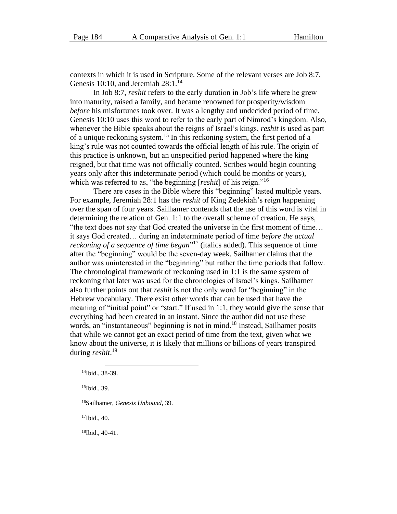contexts in which it is used in Scripture. Some of the relevant verses are Job 8:7, Genesis 10:10, and Jeremiah  $28:1.^{14}$ 

In Job 8:7, *reshit* refers to the early duration in Job's life where he grew into maturity, raised a family, and became renowned for prosperity/wisdom *before* his misfortunes took over. It was a lengthy and undecided period of time. Genesis 10:10 uses this word to refer to the early part of Nimrod's kingdom. Also, whenever the Bible speaks about the reigns of Israel's kings, *reshit* is used as part of a unique reckoning system.<sup>15</sup> In this reckoning system, the first period of a king's rule was not counted towards the official length of his rule. The origin of this practice is unknown, but an unspecified period happened where the king reigned, but that time was not officially counted. Scribes would begin counting years only after this indeterminate period (which could be months or years), which was referred to as, "the beginning [*reshit*] of his reign."<sup>16</sup>

There are cases in the Bible where this "beginning" lasted multiple years. For example, Jeremiah 28:1 has the *reshit* of King Zedekiah's reign happening over the span of four years. Sailhamer contends that the use of this word is vital in determining the relation of Gen. 1:1 to the overall scheme of creation. He says, "the text does not say that God created the universe in the first moment of time… it says God created… during an indeterminate period of time *before the actual reckoning of a sequence of time began*" <sup>17</sup> (italics added). This sequence of time after the "beginning" would be the seven-day week. Sailhamer claims that the author was uninterested in the "beginning" but rather the time periods that follow. The chronological framework of reckoning used in 1:1 is the same system of reckoning that later was used for the chronologies of Israel's kings. Sailhamer also further points out that *reshit* is not the only word for "beginning" in the Hebrew vocabulary. There exist other words that can be used that have the meaning of "initial point" or "start." If used in 1:1, they would give the sense that everything had been created in an instant. Since the author did not use these words, an "instantaneous" beginning is not in mind.<sup>18</sup> Instead, Sailhamer posits that while we cannot get an exact period of time from the text, given what we know about the universe, it is likely that millions or billions of years transpired during *reshit*. 19

<sup>17</sup>Ibid., 40.

18Ibid., 40-41.

<sup>14</sup>Ibid., 38-39.

<sup>15</sup>Ibid., 39.

<sup>16</sup>Sailhamer, *Genesis Unbound*, 39.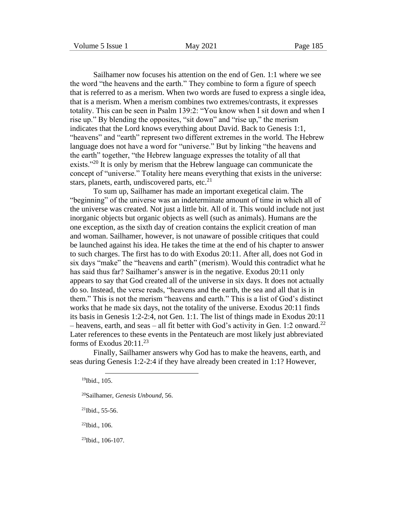Sailhamer now focuses his attention on the end of Gen. 1:1 where we see the word "the heavens and the earth." They combine to form a figure of speech that is referred to as a merism. When two words are fused to express a single idea, that is a merism. When a merism combines two extremes/contrasts, it expresses totality. This can be seen in Psalm 139:2: "You know when I sit down and when I rise up." By blending the opposites, "sit down" and "rise up," the merism indicates that the Lord knows everything about David. Back to Genesis 1:1, "heavens" and "earth" represent two different extremes in the world. The Hebrew language does not have a word for "universe." But by linking "the heavens and the earth" together, "the Hebrew language expresses the totality of all that exists."<sup>20</sup> It is only by merism that the Hebrew language can communicate the concept of "universe." Totality here means everything that exists in the universe: stars, planets, earth, undiscovered parts, etc. $^{21}$ 

To sum up, Sailhamer has made an important exegetical claim. The "beginning" of the universe was an indeterminate amount of time in which all of the universe was created. Not just a little bit. All of it. This would include not just inorganic objects but organic objects as well (such as animals). Humans are the one exception, as the sixth day of creation contains the explicit creation of man and woman. Sailhamer, however, is not unaware of possible critiques that could be launched against his idea. He takes the time at the end of his chapter to answer to such charges. The first has to do with Exodus 20:11. After all, does not God in six days "make" the "heavens and earth" (merism). Would this contradict what he has said thus far? Sailhamer's answer is in the negative. Exodus 20:11 only appears to say that God created all of the universe in six days. It does not actually do so. Instead, the verse reads, "heavens and the earth, the sea and all that is in them." This is not the merism "heavens and earth." This is a list of God's distinct works that he made six days, not the totality of the universe. Exodus 20:11 finds its basis in Genesis 1:2-2:4, not Gen. 1:1. The list of things made in Exodus 20:11 – heavens, earth, and seas – all fit better with God's activity in Gen. 1:2 onward.<sup>22</sup> Later references to these events in the Pentateuch are most likely just abbreviated forms of Exodus  $20:11^{23}$ 

Finally, Sailhamer answers why God has to make the heavens, earth, and seas during Genesis 1:2-2:4 if they have already been created in 1:1? However,

<sup>20</sup>Sailhamer, *Genesis Unbound*, 56.

 $21$ Ibid., 55-56.

<sup>22</sup>Ibid., 106.

 $^{23}$ Ibid., 106-107.

<sup>19</sup>Ibid., 105.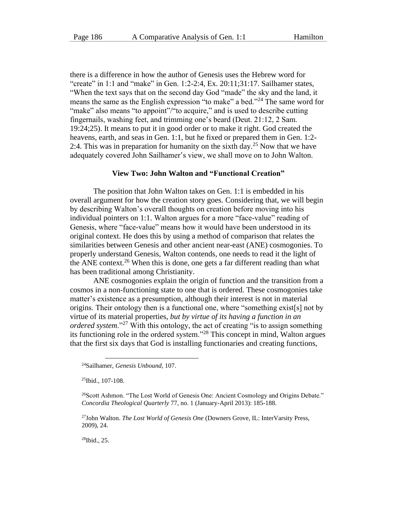there is a difference in how the author of Genesis uses the Hebrew word for "create" in 1:1 and "make" in Gen. 1:2-2:4, Ex. 20:11;31:17. Sailhamer states, "When the text says that on the second day God "made" the sky and the land, it means the same as the English expression "to make" a bed."<sup>24</sup> The same word for "make" also means "to appoint"/"to acquire," and is used to describe cutting fingernails, washing feet, and trimming one's beard (Deut. 21:12, 2 Sam. 19:24;25). It means to put it in good order or to make it right. God created the heavens, earth, and seas in Gen. 1:1, but he fixed or prepared them in Gen. 1:2- 2:4. This was in preparation for humanity on the sixth day.<sup>25</sup> Now that we have adequately covered John Sailhamer's view, we shall move on to John Walton.

#### **View Two: John Walton and "Functional Creation"**

The position that John Walton takes on Gen. 1:1 is embedded in his overall argument for how the creation story goes. Considering that, we will begin by describing Walton's overall thoughts on creation before moving into his individual pointers on 1:1. Walton argues for a more "face-value" reading of Genesis, where "face-value" means how it would have been understood in its original context. He does this by using a method of comparison that relates the similarities between Genesis and other ancient near-east (ANE) cosmogonies. To properly understand Genesis, Walton contends, one needs to read it the light of the ANE context.<sup>26</sup> When this is done, one gets a far different reading than what has been traditional among Christianity.

ANE cosmogonies explain the origin of function and the transition from a cosmos in a non-functioning state to one that is ordered. These cosmogonies take matter's existence as a presumption, although their interest is not in material origins. Their ontology then is a functional one, where "something exist[s] not by virtue of its material properties, *but by virtue of its having a function in an ordered system*."<sup>27</sup> With this ontology, the act of creating "is to assign something its functioning role in the ordered system."<sup>28</sup> This concept in mind, Walton argues that the first six days that God is installing functionaries and creating functions,

<sup>25</sup>Ibid., 107-108.

<sup>27</sup>John Walton. *The Lost World of Genesis One* (Downers Grove, IL: InterVarsity Press, 2009), 24.

 $^{28}$ Ibid., 25.

<sup>24</sup>Sailhamer, *Genesis Unbound*, 107.

<sup>&</sup>lt;sup>26</sup>Scott Ashmon. "The Lost World of Genesis One: Ancient Cosmology and Origins Debate." *Concordia Theological Quarterly* 77, no. 1 (January-April 2013): 185-188.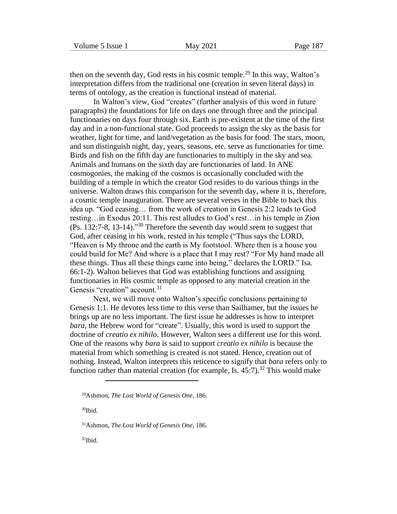then on the seventh day, God rests in his cosmic temple.<sup>29</sup> In this way, Walton's interpretation differs from the traditional one (creation in seven literal days) in terms of ontology, as the creation is functional instead of material.

In Walton's view, God "creates" (further analysis of this word in future paragraphs) the foundations for life on days one through three and the principal functionaries on days four through six. Earth is pre-existent at the time of the first day and in a non-functional state. God proceeds to assign the sky as the basis for weather, light for time, and land/vegetation as the basis for food. The stars, moon, and sun distinguish night, day, years, seasons, etc. serve as functionaries for time. Birds and fish on the fifth day are functionaries to multiply in the sky and sea. Animals and humans on the sixth day are functionaries of land. In ANE cosmogonies, the making of the cosmos is occasionally concluded with the building of a temple in which the creator God resides to do various things in the universe. Walton draws this comparison for the seventh day, where it is, therefore, a cosmic temple inauguration. There are several verses in the Bible to back this idea up. "God ceasing… from the work of creation in Genesis 2:2 leads to God resting…in Exodus 20:11. This rest alludes to God's rest…in his temple in Zion (Ps. 132:7-8, 13-14)."<sup>30</sup> Therefore the seventh day would seem to suggest that God, after ceasing in his work, rested in his temple ("Thus says the LORD, "Heaven is My throne and the earth is My footstool. Where then is a house you could build for Me? And where is a place that I may rest? "For My hand made all these things. Thus all these things came into being," declares the LORD." Isa. 66:1-2). Walton believes that God was establishing functions and assigning functionaries in His cosmic temple as opposed to any material creation in the Genesis "creation" account.<sup>31</sup>

Next, we will move onto Walton's specific conclusions pertaining to Genesis 1:1. He devotes less time to this verse than Sailhamer, but the issues he brings up are no less important. The first issue he addresses is how to interpret *bara*, the Hebrew word for "create". Usually, this word is used to support the doctrine of *creatio ex nihilo*. However, Walton sees a different use for this word. One of the reasons why *bara* is said to support *creatio ex nihilo* is because the material from which something is created is not stated. Hence, creation out of nothing. Instead, Walton interprets this reticence to signify that *bara* refers only to function rather than material creation (for example, Is.  $45:7$ ).<sup>32</sup> This would make

<sup>30</sup>Ibid.

<sup>29</sup>Ashmon, *The Lost World of Genesis One*, 186.

<sup>31</sup>Ashmon, *The Lost World of Genesis One*, 186.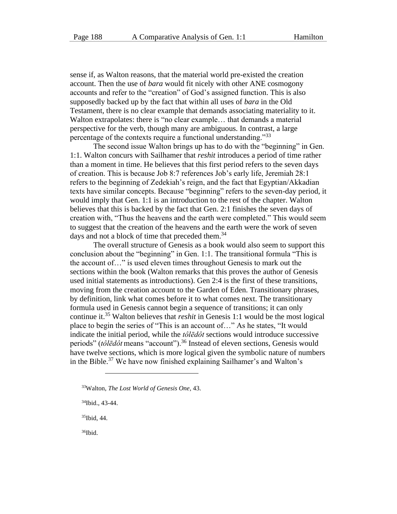sense if, as Walton reasons, that the material world pre-existed the creation account. Then the use of *bara* would fit nicely with other ANE cosmogony accounts and refer to the "creation" of God's assigned function. This is also supposedly backed up by the fact that within all uses of *bara* in the Old Testament, there is no clear example that demands associating materiality to it. Walton extrapolates: there is "no clear example… that demands a material perspective for the verb, though many are ambiguous. In contrast, a large percentage of the contexts require a functional understanding."<sup>33</sup>

The second issue Walton brings up has to do with the "beginning" in Gen. 1:1. Walton concurs with Sailhamer that *reshit* introduces a period of time rather than a moment in time. He believes that this first period refers to the seven days of creation. This is because Job 8:7 references Job's early life, Jeremiah 28:1 refers to the beginning of Zedekiah's reign, and the fact that Egyptian/Akkadian texts have similar concepts. Because "beginning" refers to the seven-day period, it would imply that Gen. 1:1 is an introduction to the rest of the chapter. Walton believes that this is backed by the fact that Gen. 2:1 finishes the seven days of creation with, "Thus the heavens and the earth were completed." This would seem to suggest that the creation of the heavens and the earth were the work of seven days and not a block of time that preceded them.<sup>34</sup>

The overall structure of Genesis as a book would also seem to support this conclusion about the "beginning" in Gen. 1:1. The transitional formula "This is the account of…" is used eleven times throughout Genesis to mark out the sections within the book (Walton remarks that this proves the author of Genesis used initial statements as introductions). Gen 2:4 is the first of these transitions, moving from the creation account to the Garden of Eden. Transitionary phrases, by definition, link what comes before it to what comes next. The transitionary formula used in Genesis cannot begin a sequence of transitions; it can only continue it.<sup>35</sup> Walton believes that *reshit* in Genesis 1:1 would be the most logical place to begin the series of "This is an account of…" As he states, "It would indicate the initial period, while the *tôlēdôt* sections would introduce successive periods" (*tôlēdôt* means "account").<sup>36</sup> Instead of eleven sections, Genesis would have twelve sections, which is more logical given the symbolic nature of numbers in the Bible.<sup>37</sup> We have now finished explaining Sailhamer's and Walton's

 $35$ Ibid, 44.

<sup>33</sup>Walton, *The Lost World of Genesis One*, 43.

<sup>34</sup>Ibid., 43-44.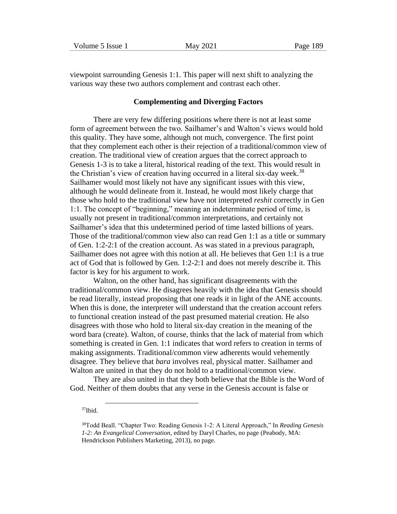| Volume 5 Issue 1 |  |  |
|------------------|--|--|
|------------------|--|--|

viewpoint surrounding Genesis 1:1. This paper will next shift to analyzing the various way these two authors complement and contrast each other.

#### **Complementing and Diverging Factors**

There are very few differing positions where there is not at least some form of agreement between the two. Sailhamer's and Walton's views would hold this quality. They have some, although not much, convergence. The first point that they complement each other is their rejection of a traditional/common view of creation. The traditional view of creation argues that the correct approach to Genesis 1-3 is to take a literal, historical reading of the text. This would result in the Christian's view of creation having occurred in a literal six-day week.<sup>38</sup> Sailhamer would most likely not have any significant issues with this view, although he would delineate from it. Instead, he would most likely charge that those who hold to the traditional view have not interpreted *reshit* correctly in Gen 1:1. The concept of "beginning," meaning an indeterminate period of time, is usually not present in traditional/common interpretations, and certainly not Sailhamer's idea that this undetermined period of time lasted billions of years. Those of the traditional/common view also can read Gen 1:1 as a title or summary of Gen. 1:2-2:1 of the creation account. As was stated in a previous paragraph, Sailhamer does not agree with this notion at all. He believes that Gen 1:1 is a true act of God that is followed by Gen. 1:2-2:1 and does not merely describe it. This factor is key for his argument to work.

Walton, on the other hand, has significant disagreements with the traditional/common view. He disagrees heavily with the idea that Genesis should be read literally, instead proposing that one reads it in light of the ANE accounts. When this is done, the interpreter will understand that the creation account refers to functional creation instead of the past presumed material creation. He also disagrees with those who hold to literal six-day creation in the meaning of the word bara (create). Walton, of course, thinks that the lack of material from which something is created in Gen. 1:1 indicates that word refers to creation in terms of making assignments. Traditional/common view adherents would vehemently disagree. They believe that *bara* involves real, physical matter. Sailhamer and Walton are united in that they do not hold to a traditional/common view.

They are also united in that they both believe that the Bible is the Word of God. Neither of them doubts that any verse in the Genesis account is false or

<sup>38</sup>Todd Beall. "Chapter Two: Reading Genesis 1-2: A Literal Approach," In *Reading Genesis 1-2: An Evangelical Conversation*, edited by Daryl Charles, no page (Peabody, MA: Hendrickson Publishers Marketing, 2013), no page.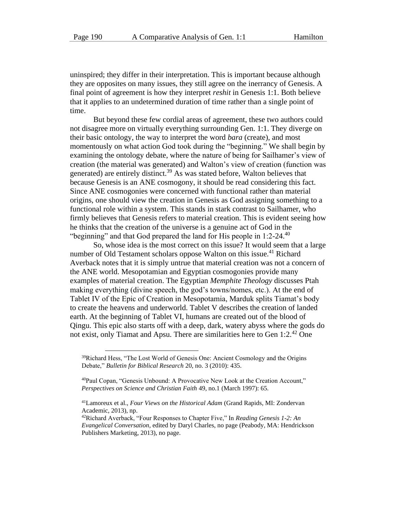uninspired; they differ in their interpretation. This is important because although they are opposites on many issues, they still agree on the inerrancy of Genesis. A final point of agreement is how they interpret *reshit* in Genesis 1:1. Both believe that it applies to an undetermined duration of time rather than a single point of time.

But beyond these few cordial areas of agreement, these two authors could not disagree more on virtually everything surrounding Gen. 1:1. They diverge on their basic ontology, the way to interpret the word *bara* (create), and most momentously on what action God took during the "beginning." We shall begin by examining the ontology debate, where the nature of being for Sailhamer's view of creation (the material was generated) and Walton's view of creation (function was generated) are entirely distinct.<sup>39</sup> As was stated before, Walton believes that because Genesis is an ANE cosmogony, it should be read considering this fact. Since ANE cosmogonies were concerned with functional rather than material origins, one should view the creation in Genesis as God assigning something to a functional role within a system. This stands in stark contrast to Sailhamer, who firmly believes that Genesis refers to material creation. This is evident seeing how he thinks that the creation of the universe is a genuine act of God in the "beginning" and that God prepared the land for His people in  $1:2-24$ .<sup>40</sup>

So, whose idea is the most correct on this issue? It would seem that a large number of Old Testament scholars oppose Walton on this issue.<sup>41</sup> Richard Averback notes that it is simply untrue that material creation was not a concern of the ANE world. Mesopotamian and Egyptian cosmogonies provide many examples of material creation. The Egyptian *Memphite Theology* discusses Ptah making everything (divine speech, the god's towns/nomes, etc.). At the end of Tablet IV of the Epic of Creation in Mesopotamia, Marduk splits Tiamat's body to create the heavens and underworld. Tablet V describes the creation of landed earth. At the beginning of Tablet VI, humans are created out of the blood of Qingu. This epic also starts off with a deep, dark, watery abyss where the gods do not exist, only Tiamat and Apsu. There are similarities here to Gen  $1:2.^{42}$  One

<sup>&</sup>lt;sup>39</sup>Richard Hess, "The Lost World of Genesis One: Ancient Cosmology and the Origins Debate," *Bulletin for Biblical Research* 20, no. 3 (2010): 435.

<sup>40</sup>Paul Copan, "Genesis Unbound: A Provocative New Look at the Creation Account," *Perspectives on Science and Christian Faith* 49, no.1 (March 1997): 65.

<sup>41</sup>Lamoreux et al., *Four Views on the Historical Adam* (Grand Rapids, MI: Zondervan Academic, 2013), np.

<sup>42</sup>Richard Averback, "Four Responses to Chapter Five," In *Reading Genesis 1-2: An Evangelical Conversation*, edited by Daryl Charles, no page (Peabody, MA: Hendrickson Publishers Marketing, 2013), no page.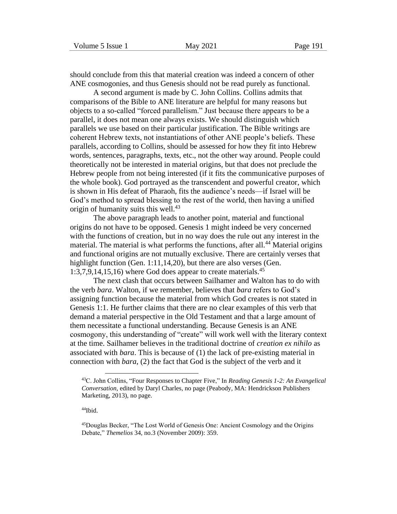should conclude from this that material creation was indeed a concern of other ANE cosmogonies, and thus Genesis should not be read purely as functional.

A second argument is made by C. John Collins. Collins admits that comparisons of the Bible to ANE literature are helpful for many reasons but objects to a so-called "forced parallelism." Just because there appears to be a parallel, it does not mean one always exists. We should distinguish which parallels we use based on their particular justification. The Bible writings are coherent Hebrew texts, not instantiations of other ANE people's beliefs. These parallels, according to Collins, should be assessed for how they fit into Hebrew words, sentences, paragraphs, texts, etc., not the other way around. People could theoretically not be interested in material origins, but that does not preclude the Hebrew people from not being interested (if it fits the communicative purposes of the whole book). God portrayed as the transcendent and powerful creator, which is shown in His defeat of Pharaoh, fits the audience's needs—if Israel will be God's method to spread blessing to the rest of the world, then having a unified origin of humanity suits this well. $43$ 

The above paragraph leads to another point, material and functional origins do not have to be opposed. Genesis 1 might indeed be very concerned with the functions of creation, but in no way does the rule out any interest in the material. The material is what performs the functions, after all.<sup>44</sup> Material origins and functional origins are not mutually exclusive. There are certainly verses that highlight function (Gen. 1:11,14,20), but there are also verses (Gen. 1:3,7,9,14,15,16) where God does appear to create materials.<sup>45</sup>

The next clash that occurs between Sailhamer and Walton has to do with the verb *bara*. Walton, if we remember, believes that *bara* refers to God's assigning function because the material from which God creates is not stated in Genesis 1:1. He further claims that there are no clear examples of this verb that demand a material perspective in the Old Testament and that a large amount of them necessitate a functional understanding. Because Genesis is an ANE cosmogony, this understanding of "create" will work well with the literary context at the time. Sailhamer believes in the traditional doctrine of *creation ex nihilo* as associated with *bara*. This is because of (1) the lack of pre-existing material in connection with *bara*, (2) the fact that God is the subject of the verb and it

<sup>43</sup>C. John Collins, "Four Responses to Chapter Five," In *Reading Genesis 1-2: An Evangelical Conversation*, edited by Daryl Charles, no page (Peabody, MA: Hendrickson Publishers Marketing, 2013), no page.

<sup>44</sup>Ibid.

<sup>45</sup>Douglas Becker, "The Lost World of Genesis One: Ancient Cosmology and the Origins Debate," *Themelios* 34, no.3 (November 2009): 359.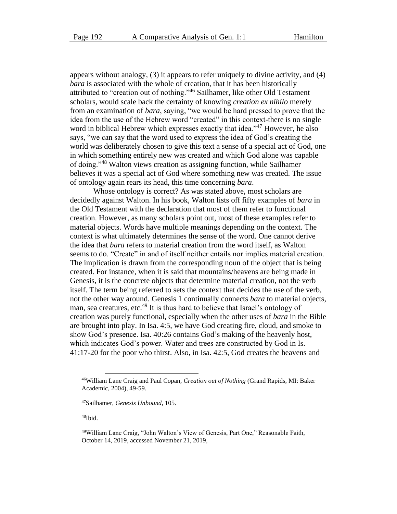appears without analogy, (3) it appears to refer uniquely to divine activity, and (4) *bara* is associated with the whole of creation, that it has been historically attributed to "creation out of nothing."<sup>46</sup> Sailhamer, like other Old Testament scholars, would scale back the certainty of knowing *creation ex nihilo* merely from an examination of *bara*, saying, "we would be hard pressed to prove that the idea from the use of the Hebrew word "created" in this context-there is no single word in biblical Hebrew which expresses exactly that idea."<sup>47</sup> However, he also says, "we can say that the word used to express the idea of God's creating the world was deliberately chosen to give this text a sense of a special act of God, one in which something entirely new was created and which God alone was capable of doing."<sup>48</sup> Walton views creation as assigning function, while Sailhamer believes it was a special act of God where something new was created. The issue of ontology again rears its head, this time concerning *bara*.

Whose ontology is correct? As was stated above, most scholars are decidedly against Walton. In his book, Walton lists off fifty examples of *bara* in the Old Testament with the declaration that most of them refer to functional creation. However, as many scholars point out, most of these examples refer to material objects. Words have multiple meanings depending on the context. The context is what ultimately determines the sense of the word. One cannot derive the idea that *bara* refers to material creation from the word itself, as Walton seems to do. "Create" in and of itself neither entails nor implies material creation. The implication is drawn from the corresponding noun of the object that is being created. For instance, when it is said that mountains/heavens are being made in Genesis, it is the concrete objects that determine material creation, not the verb itself. The term being referred to sets the context that decides the use of the verb, not the other way around. Genesis 1 continually connects *bara* to material objects, man, sea creatures, etc.<sup>49</sup> It is thus hard to believe that Israel's ontology of creation was purely functional, especially when the other uses of *bara* in the Bible are brought into play. In Isa. 4:5, we have God creating fire, cloud, and smoke to show God's presence. Isa. 40:26 contains God's making of the heavenly host, which indicates God's power. Water and trees are constructed by God in Is. 41:17-20 for the poor who thirst. Also, in Isa. 42:5, God creates the heavens and

<sup>46</sup>William Lane Craig and Paul Copan, *Creation out of Nothing* (Grand Rapids, MI: Baker Academic, 2004), 49-59.

<sup>47</sup>Sailhamer, *Genesis Unbound*, 105.

<sup>49</sup>William Lane Craig, "John Walton's View of Genesis, Part One," Reasonable Faith, October 14, 2019, accessed November 21, 2019,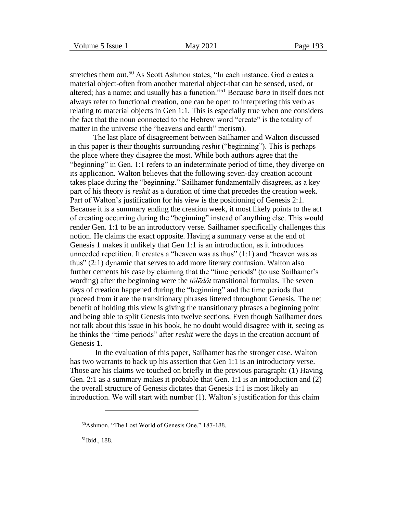stretches them out.<sup>50</sup> As Scott Ashmon states, "In each instance. God creates a material object-often from another material object-that can be sensed, used, or altered; has a name; and usually has a function."<sup>51</sup> Because *bara* in itself does not always refer to functional creation, one can be open to interpreting this verb as relating to material objects in Gen 1:1. This is especially true when one considers the fact that the noun connected to the Hebrew word "create" is the totality of matter in the universe (the "heavens and earth" merism).

The last place of disagreement between Sailhamer and Walton discussed in this paper is their thoughts surrounding *reshit* ("beginning"). This is perhaps the place where they disagree the most. While both authors agree that the "beginning" in Gen. 1:1 refers to an indeterminate period of time, they diverge on its application. Walton believes that the following seven-day creation account takes place during the "beginning." Sailhamer fundamentally disagrees, as a key part of his theory is *reshit* as a duration of time that precedes the creation week. Part of Walton's justification for his view is the positioning of Genesis 2:1. Because it is a summary ending the creation week, it most likely points to the act of creating occurring during the "beginning" instead of anything else. This would render Gen. 1:1 to be an introductory verse. Sailhamer specifically challenges this notion. He claims the exact opposite. Having a summary verse at the end of Genesis 1 makes it unlikely that Gen 1:1 is an introduction, as it introduces unneeded repetition. It creates a "heaven was as thus" (1:1) and "heaven was as thus" (2:1) dynamic that serves to add more literary confusion. Walton also further cements his case by claiming that the "time periods" (to use Sailhamer's wording) after the beginning were the *tôlēdôt* transitional formulas. The seven days of creation happened during the "beginning" and the time periods that proceed from it are the transitionary phrases littered throughout Genesis. The net benefit of holding this view is giving the transitionary phrases a beginning point and being able to split Genesis into twelve sections. Even though Sailhamer does not talk about this issue in his book, he no doubt would disagree with it, seeing as he thinks the "time periods" after *reshit* were the days in the creation account of Genesis 1.

In the evaluation of this paper, Sailhamer has the stronger case. Walton has two warrants to back up his assertion that Gen 1:1 is an introductory verse. Those are his claims we touched on briefly in the previous paragraph: (1) Having Gen. 2:1 as a summary makes it probable that Gen. 1:1 is an introduction and (2) the overall structure of Genesis dictates that Genesis 1:1 is most likely an introduction. We will start with number (1). Walton's justification for this claim

<sup>50</sup>Ashmon, "The Lost World of Genesis One," 187-188.

<sup>51</sup>Ibid., 188.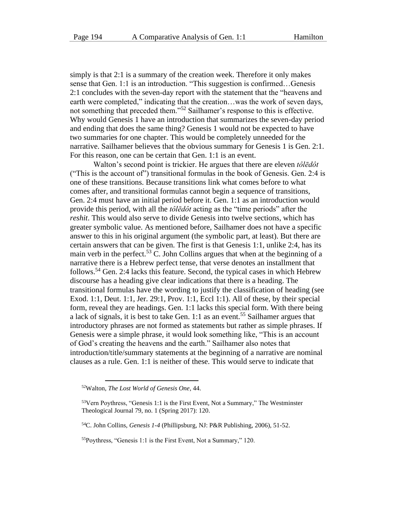simply is that 2:1 is a summary of the creation week. Therefore it only makes sense that Gen. 1:1 is an introduction. "This suggestion is confirmed…Genesis 2:1 concludes with the seven-day report with the statement that the "heavens and earth were completed," indicating that the creation...was the work of seven days, not something that preceded them."<sup>52</sup> Sailhamer's response to this is effective. Why would Genesis 1 have an introduction that summarizes the seven-day period and ending that does the same thing? Genesis 1 would not be expected to have two summaries for one chapter. This would be completely unneeded for the narrative. Sailhamer believes that the obvious summary for Genesis 1 is Gen. 2:1. For this reason, one can be certain that Gen. 1:1 is an event.

Walton's second point is trickier. He argues that there are eleven *tôlēdôt* ("This is the account of") transitional formulas in the book of Genesis. Gen. 2:4 is one of these transitions. Because transitions link what comes before to what comes after, and transitional formulas cannot begin a sequence of transitions, Gen. 2:4 must have an initial period before it. Gen. 1:1 as an introduction would provide this period, with all the *tôlēdôt* acting as the "time periods" after the *reshit*. This would also serve to divide Genesis into twelve sections, which has greater symbolic value. As mentioned before, Sailhamer does not have a specific answer to this in his original argument (the symbolic part, at least). But there are certain answers that can be given. The first is that Genesis 1:1, unlike 2:4, has its main verb in the perfect.<sup>53</sup> C. John Collins argues that when at the beginning of a narrative there is a Hebrew perfect tense, that verse denotes an installment that follows.<sup>54</sup> Gen. 2:4 lacks this feature. Second, the typical cases in which Hebrew discourse has a heading give clear indications that there is a heading. The transitional formulas have the wording to justify the classification of heading (see Exod. 1:1, Deut. 1:1, Jer. 29:1, Prov. 1:1, Eccl 1:1). All of these, by their special form, reveal they are headings. Gen. 1:1 lacks this special form. With there being a lack of signals, it is best to take Gen. 1:1 as an event.<sup>55</sup> Sailhamer argues that introductory phrases are not formed as statements but rather as simple phrases. If Genesis were a simple phrase, it would look something like, "This is an account of God's creating the heavens and the earth." Sailhamer also notes that introduction/title/summary statements at the beginning of a narrative are nominal clauses as a rule. Gen. 1:1 is neither of these. This would serve to indicate that

<sup>52</sup>Walton, *The Lost World of Genesis One*, 44.

<sup>53</sup>Vern Poythress, "Genesis 1:1 is the First Event, Not a Summary," The Westminster Theological Journal 79, no. 1 (Spring 2017): 120.

<sup>54</sup>C. John Collins, *Genesis 1-4* (Phillipsburg, NJ: P&R Publishing, 2006), 51-52.

<sup>55</sup>Poythress, "Genesis 1:1 is the First Event, Not a Summary," 120.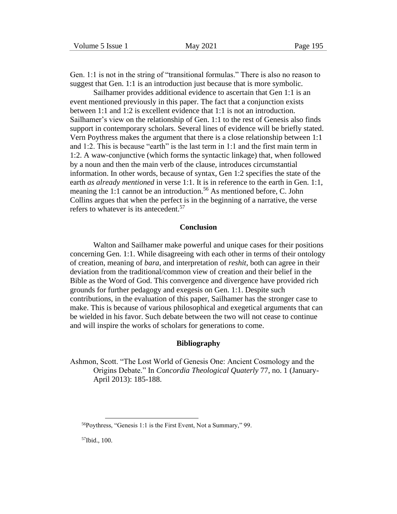Gen. 1:1 is not in the string of "transitional formulas." There is also no reason to suggest that Gen. 1:1 is an introduction just because that is more symbolic.

Sailhamer provides additional evidence to ascertain that Gen 1:1 is an event mentioned previously in this paper. The fact that a conjunction exists between 1:1 and 1:2 is excellent evidence that 1:1 is not an introduction. Sailhamer's view on the relationship of Gen. 1:1 to the rest of Genesis also finds support in contemporary scholars. Several lines of evidence will be briefly stated. Vern Poythress makes the argument that there is a close relationship between 1:1 and 1:2. This is because "earth" is the last term in 1:1 and the first main term in 1:2. A waw-conjunctive (which forms the syntactic linkage) that, when followed by a noun and then the main verb of the clause, introduces circumstantial information. In other words, because of syntax, Gen 1:2 specifies the state of the earth *as already mentioned* in verse 1:1. It is in reference to the earth in Gen. 1:1, meaning the 1:1 cannot be an introduction.<sup>56</sup> As mentioned before, C. John Collins argues that when the perfect is in the beginning of a narrative, the verse refers to whatever is its antecedent.<sup>57</sup>

#### **Conclusion**

Walton and Sailhamer make powerful and unique cases for their positions concerning Gen. 1:1. While disagreeing with each other in terms of their ontology of creation, meaning of *bara*, and interpretation of *reshit*, both can agree in their deviation from the traditional/common view of creation and their belief in the Bible as the Word of God. This convergence and divergence have provided rich grounds for further pedagogy and exegesis on Gen. 1:1. Despite such contributions, in the evaluation of this paper, Sailhamer has the stronger case to make. This is because of various philosophical and exegetical arguments that can be wielded in his favor. Such debate between the two will not cease to continue and will inspire the works of scholars for generations to come.

#### **Bibliography**

Ashmon, Scott. "The Lost World of Genesis One: Ancient Cosmology and the Origins Debate." In *Concordia Theological Quaterly* 77, no. 1 (January-April 2013): 185-188.

57Ibid., 100.

<sup>56</sup>Poythress, "Genesis 1:1 is the First Event, Not a Summary," 99.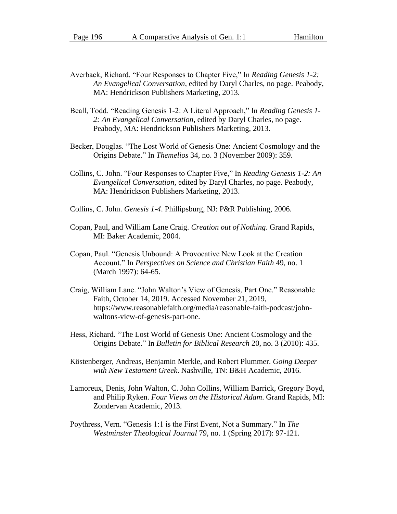- Averback, Richard. "Four Responses to Chapter Five," In *Reading Genesis 1-2: An Evangelical Conversation*, edited by Daryl Charles, no page. Peabody, MA: Hendrickson Publishers Marketing, 2013.
- Beall, Todd. "Reading Genesis 1-2: A Literal Approach," In *Reading Genesis 1- 2: An Evangelical Conversation*, edited by Daryl Charles, no page. Peabody, MA: Hendrickson Publishers Marketing, 2013.
- Becker, Douglas. "The Lost World of Genesis One: Ancient Cosmology and the Origins Debate." In *Themelios* 34, no. 3 (November 2009): 359.
- Collins, C. John. "Four Responses to Chapter Five," In *Reading Genesis 1-2: An Evangelical Conversation*, edited by Daryl Charles, no page. Peabody, MA: Hendrickson Publishers Marketing, 2013.
- Collins, C. John. *Genesis 1-4*. Phillipsburg, NJ: P&R Publishing, 2006.
- Copan, Paul, and William Lane Craig. *Creation out of Nothing*. Grand Rapids, MI: Baker Academic, 2004.
- Copan, Paul. "Genesis Unbound: A Provocative New Look at the Creation Account." In *Perspectives on Science and Christian Faith* 49, no. 1 (March 1997): 64-65.
- Craig, William Lane. "John Walton's View of Genesis, Part One." Reasonable Faith, October 14, 2019. Accessed November 21, 2019, https://www.reasonablefaith.org/media/reasonable-faith-podcast/johnwaltons-view-of-genesis-part-one.
- Hess, Richard. "The Lost World of Genesis One: Ancient Cosmology and the Origins Debate." In *Bulletin for Biblical Research* 20, no. 3 (2010): 435.
- Köstenberger, Andreas, Benjamin Merkle, and Robert Plummer. *Going Deeper with New Testament Greek*. Nashville, TN: B&H Academic, 2016.
- Lamoreux, Denis, John Walton, C. John Collins, William Barrick, Gregory Boyd, and Philip Ryken. *Four Views on the Historical Adam*. Grand Rapids, MI: Zondervan Academic, 2013.
- Poythress, Vern. "Genesis 1:1 is the First Event, Not a Summary." In *The Westminster Theological Journal* 79, no. 1 (Spring 2017): 97-121.